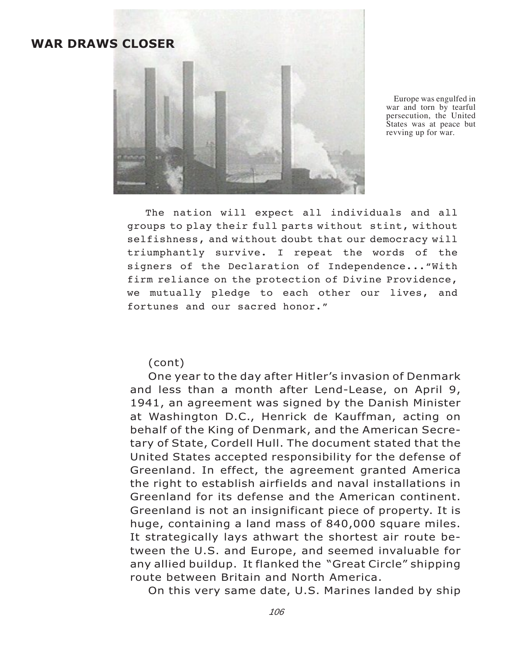## **WAR DRAWS CLOSER**



Europe was engulfed in war and torn by tearful persecution, the United States was at peace but revving up for war.

The nation will expect all individuals and all groups to play their full parts without stint, without selfishness, and without doubt that our democracy will triumphantly survive. I repeat the words of the signers of the Declaration of Independence..."With firm reliance on the protection of Divine Providence, we mutually pledge to each other our lives, and fortunes and our sacred honor."

(cont)

One year to the day after Hitler's invasion of Denmark and less than a month after Lend-Lease, on April 9, 1941, an agreement was signed by the Danish Minister at Washington D.C., Henrick de Kauffman, acting on behalf of the King of Denmark, and the American Secretary of State, Cordell Hull. The document stated that the United States accepted responsibility for the defense of Greenland. In effect, the agreement granted America the right to establish airfields and naval installations in Greenland for its defense and the American continent. Greenland is not an insignificant piece of property. It is huge, containing a land mass of 840,000 square miles. It strategically lays athwart the shortest air route between the U.S. and Europe, and seemed invaluable for any allied buildup. It flanked the "Great Circle" shipping route between Britain and North America.

On this very same date, U.S. Marines landed by ship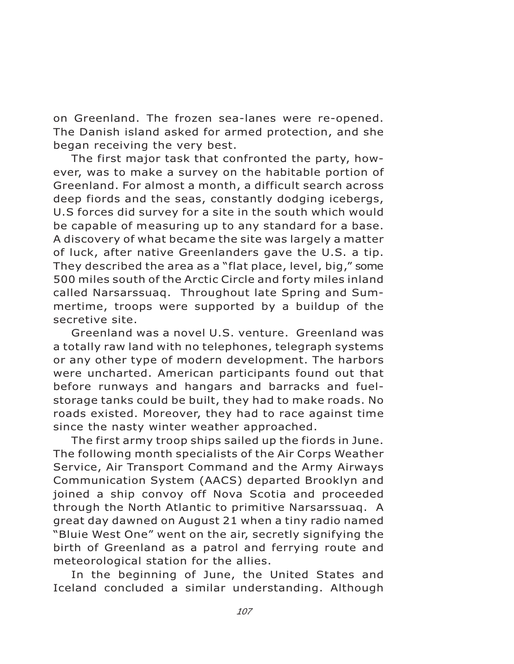on Greenland. The frozen sea-lanes were re-opened. The Danish island asked for armed protection, and she began receiving the very best.

The first major task that confronted the party, however, was to make a survey on the habitable portion of Greenland. For almost a month, a difficult search across deep fiords and the seas, constantly dodging icebergs, U.S forces did survey for a site in the south which would be capable of measuring up to any standard for a base. A discovery of what became the site was largely a matter of luck, after native Greenlanders gave the U.S. a tip. They described the area as a "flat place, level, big," some 500 miles south of the Arctic Circle and forty miles inland called Narsarssuaq. Throughout late Spring and Summertime, troops were supported by a buildup of the secretive site.

Greenland was a novel U.S. venture. Greenland was a totally raw land with no telephones, telegraph systems or any other type of modern development. The harbors were uncharted. American participants found out that before runways and hangars and barracks and fuelstorage tanks could be built, they had to make roads. No roads existed. Moreover, they had to race against time since the nasty winter weather approached.

The first army troop ships sailed up the fiords in June. The following month specialists of the Air Corps Weather Service, Air Transport Command and the Army Airways Communication System (AACS) departed Brooklyn and joined a ship convoy off Nova Scotia and proceeded through the North Atlantic to primitive Narsarssuaq. A great day dawned on August 21 when a tiny radio named "Bluie West One" went on the air, secretly signifying the birth of Greenland as a patrol and ferrying route and meteorological station for the allies.

In the beginning of June, the United States and Iceland concluded a similar understanding. Although